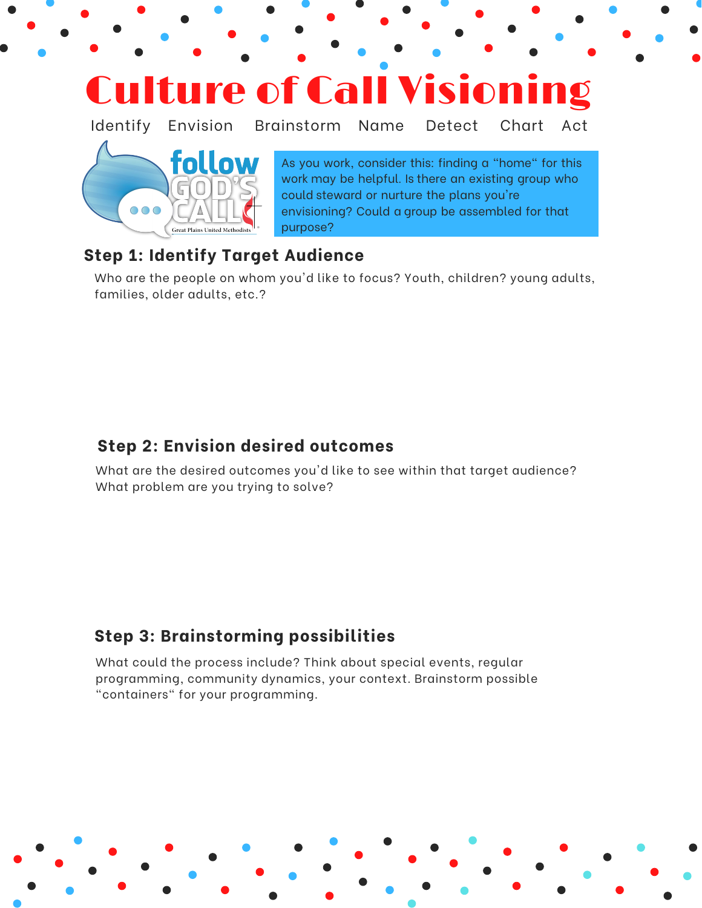

### **Step 1: Identify Target Audience**

Who are the people on whom you'd like to focus? Youth, children? young adults, families, older adults, etc.?

### **Step 2: Envision desired outcomes**

What are the desired outcomes you'd like to see within that target audience? What problem are you trying to solve?

## **Step 3: Brainstorming possibilities**

What could the process include? Think about special events, regular programming, community dynamics, your context. Brainstorm possible "containers" for your programming.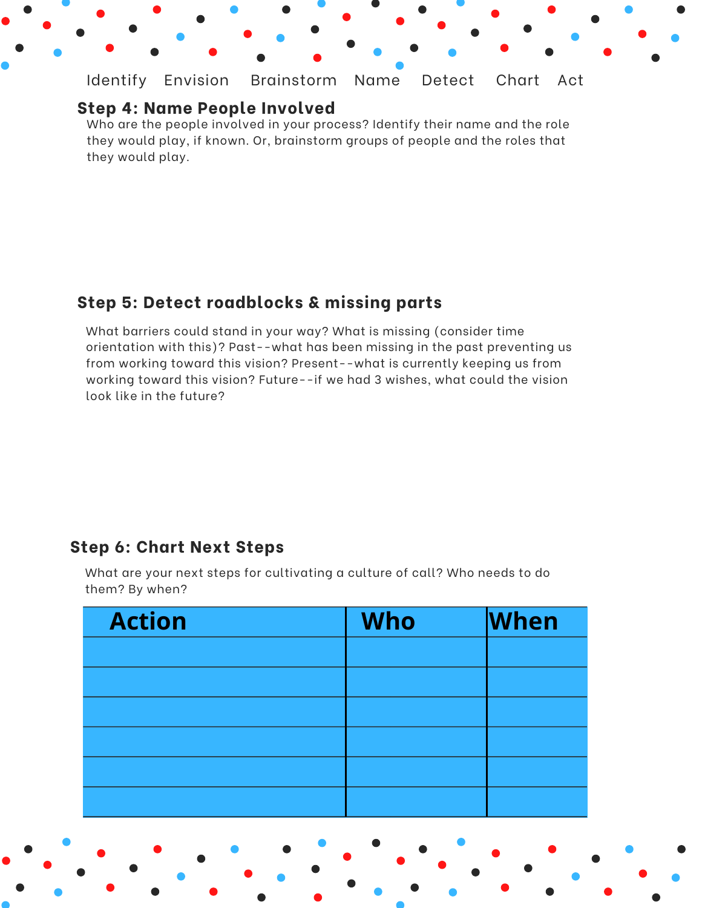Identify Envision Brainstorm Name Detect Chart Act

#### **Step 4: Name People Involved**

Who are the people involved in your process? Identify their name and the role they would play, if known. Or, brainstorm groups of people and the roles that they would play.

### **Step 5: Detect roadblocks & missing parts**

What barriers could stand in your way? What is missing (consider time orientation with this)? Past--what has been missing in the past preventing us from working toward this vision? Present--what is currently keeping us from working toward this vision? Future--if we had 3 wishes, what could the vision look like in the future?

#### **Step 6: Chart Next Steps**

What are your next steps for cultivating a culture of call? Who needs to do them? By when?

| <b>Action</b> | <b>Who</b> | <b>When</b> |
|---------------|------------|-------------|
|               |            |             |
|               |            |             |
|               |            |             |
|               |            |             |
|               |            |             |
|               |            |             |